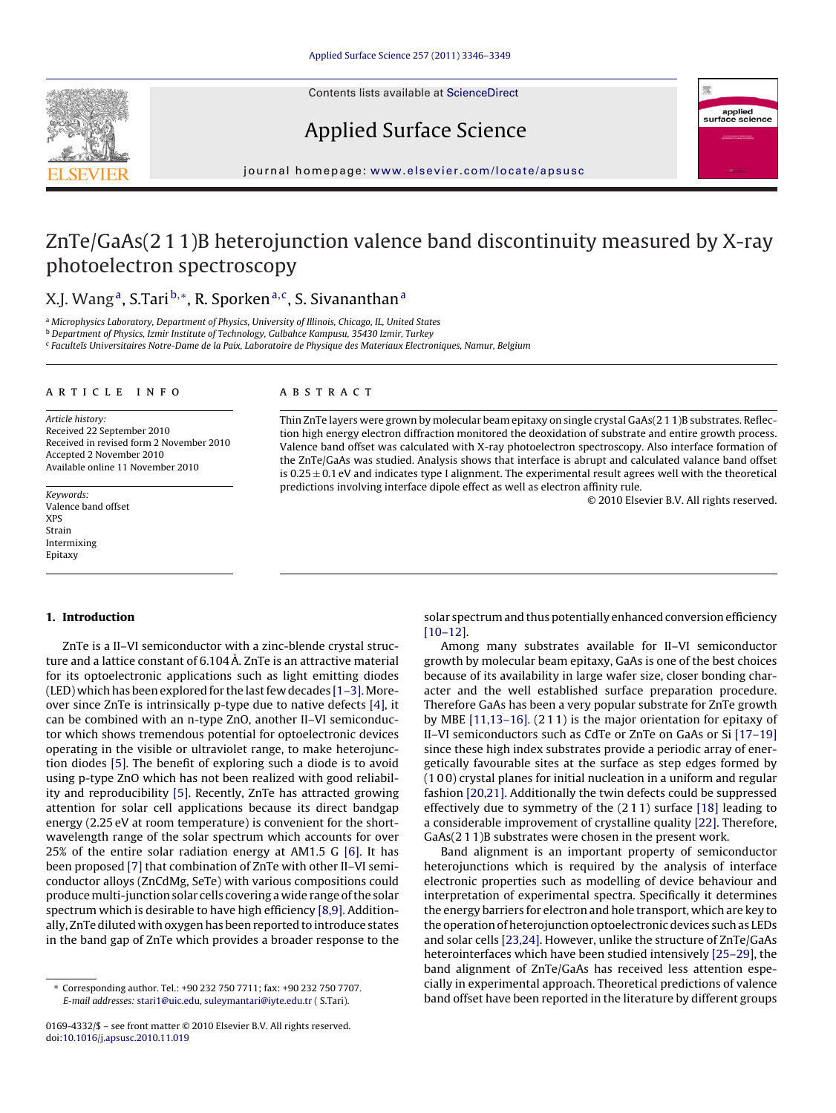Contents lists available at [ScienceDirect](http://www.sciencedirect.com/science/journal/01694332)







journal homepage: [www.elsevier.com/locate/apsusc](http://www.elsevier.com/locate/apsusc)

# ZnTe/GaAs(2 1 1)B heterojunction valence band discontinuity measured by X-ray photoelectron spectroscopy

# X.J. Wang<sup>a</sup>, S.Tari<sup>b,∗</sup>, R. Sporken<sup>a,c</sup>, S. Sivananthan<sup>a</sup>

a Microphysics Laboratory, Department of Physics, University of Illinois, Chicago, IL, United States

<sup>b</sup> Department of Physics, Izmir Institute of Technology, Gulbahce Kampusu, 35430 Izmir, Turkey

<sup>c</sup> Faculteˇıs Universitaires Notre-Dame de la Paix, Laboratoire de Physique des Materiaux Electroniques, Namur, Belgium

# article info

Article history: Received 22 September 2010 Received in revised form 2 November 2010 Accepted 2 November 2010 Available online 11 November 2010

Keywords: Valence band offset XPS Strain Intermixing Epitaxy

# ABSTRACT

Thin ZnTe layers were grown by molecular beam epitaxy on single crystal GaAs(2 1 1)B substrates. Reflection high energy electron diffraction monitored the deoxidation of substrate and entire growth process. Valence band offset was calculated with X-ray photoelectron spectroscopy. Also interface formation of the ZnTe/GaAs was studied. Analysis shows that interface is abrupt and calculated valance band offset is  $0.25 \pm 0.1$  eV and indicates type I alignment. The experimental result agrees well with the theoretical predictions involving interface dipole effect as well as electron affinity rule.

© 2010 Elsevier B.V. All rights reserved.

### **1. Introduction**

ZnTe is a II–VI semiconductor with a zinc-blende crystal structure and a lattice constant of 6.104 Å. ZnTe is an attractive material for its optoelectronic applications such as light emitting diodes (LED) which has been explored for the last few decades [\[1–3\].M](#page-3-0)oreover since ZnTe is intrinsically p-type due to native defects [\[4\], i](#page-3-0)t can be combined with an n-type ZnO, another II–VI semiconductor which shows tremendous potential for optoelectronic devices operating in the visible or ultraviolet range, to make heterojunction diodes [\[5\]. T](#page-3-0)he benefit of exploring such a diode is to avoid using p-type ZnO which has not been realized with good reliability and reproducibility [\[5\].](#page-3-0) Recently, ZnTe has attracted growing attention for solar cell applications because its direct bandgap energy (2.25 eV at room temperature) is convenient for the shortwavelength range of the solar spectrum which accounts for over 25% of the entire solar radiation energy at AM1.5 G [\[6\].](#page-3-0) It has been proposed [\[7\]](#page-3-0) that combination of ZnTe with other II–VI semiconductor alloys (ZnCdMg, SeTe) with various compositions could produce multi-junction solar cells covering a wide range of the solar spectrum which is desirable to have high efficiency [\[8,9\]. A](#page-3-0)dditionally, ZnTe diluted with oxygen has been reported to introduce states in the band gap of ZnTe which provides a broader response to the solar spectrum and thus potentially enhanced conversion efficiency [\[10–12\].](#page-3-0)

Among many substrates available for II–VI semiconductor growth by molecular beam epitaxy, GaAs is one of the best choices because of its availability in large wafer size, closer bonding character and the well established surface preparation procedure. Therefore GaAs has been a very popular substrate for ZnTe growth by MBE [\[11,13–16\]. \(](#page-3-0)2 1 1) is the major orientation for epitaxy of II–VI semiconductors such as CdTe or ZnTe on GaAs or Si [\[17–19\]](#page-3-0) since these high index substrates provide a periodic array of energetically favourable sites at the surface as step edges formed by (1 0 0) crystal planes for initial nucleation in a uniform and regular fashion [\[20,21\]. A](#page-3-0)dditionally the twin defects could be suppressed effectively due to symmetry of the (2 1 1) surface [\[18\]](#page-3-0) leading to a considerable improvement of crystalline quality [\[22\]. T](#page-3-0)herefore, GaAs(2 1 1)B substrates were chosen in the present work.

Band alignment is an important property of semiconductor heterojunctions which is required by the analysis of interface electronic properties such as modelling of device behaviour and interpretation of experimental spectra. Specifically it determines the energy barriers for electron and hole transport, which are key to the operation of heterojunction optoelectronic devices such as LEDs and solar cells [\[23,24\]. H](#page-3-0)owever, unlike the structure of ZnTe/GaAs heterointerfaces which have been studied intensively [\[25–29\], t](#page-3-0)he band alignment of ZnTe/GaAs has received less attention especially in experimental approach. Theoretical predictions of valence band offset have been reported in the literature by different groups

<sup>∗</sup> Corresponding author. Tel.: +90 232 750 7711; fax: +90 232 750 7707. E-mail addresses: [stari1@uic.edu](mailto:stari1@uic.edu), [suleymantari@iyte.edu.tr](mailto:suleymantari@iyte.edu.tr) ( S.Tari).

<sup>0169-4332/\$ –</sup> see front matter © 2010 Elsevier B.V. All rights reserved. doi:[10.1016/j.apsusc.2010.11.019](dx.doi.org/10.1016/j.apsusc.2010.11.019)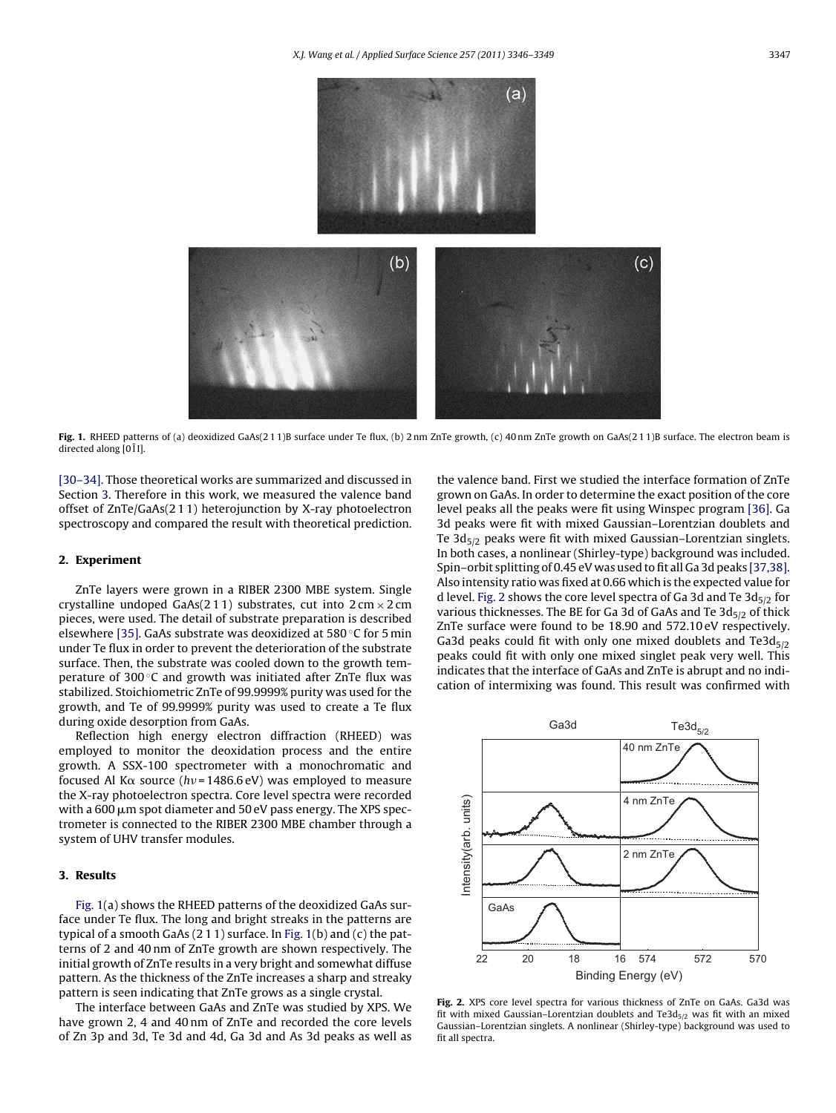<span id="page-1-0"></span>

Fig. 1. RHEED patterns of (a) deoxidized GaAs(211)B surface under Te flux, (b) 2 nm ZnTe growth, (c) 40 nm ZnTe growth on GaAs(211)B surface. The electron beam is directed along [0  $\overline{1}$  I].

[\[30–34\]. T](#page-3-0)hose theoretical works are summarized and discussed in Section 3. Therefore in this work, we measured the valence band offset of ZnTe/GaAs(2 1 1) heterojunction by X-ray photoelectron spectroscopy and compared the result with theoretical prediction.

# **2. Experiment**

ZnTe layers were grown in a RIBER 2300 MBE system. Single crystalline undoped GaAs(211) substrates, cut into  $2 \text{ cm} \times 2 \text{ cm}$ pieces, were used. The detail of substrate preparation is described elsewhere [\[35\]. G](#page-3-0)aAs substrate was deoxidized at 580 ◦C for 5 min under Te flux in order to prevent the deterioration of the substrate surface. Then, the substrate was cooled down to the growth temperature of 300 ℃ and growth was initiated after ZnTe flux was stabilized. Stoichiometric ZnTe of 99.9999% purity was used for the growth, and Te of 99.9999% purity was used to create a Te flux during oxide desorption from GaAs.

Reflection high energy electron diffraction (RHEED) was employed to monitor the deoxidation process and the entire growth. A SSX-100 spectrometer with a monochromatic and focused Al K $\alpha$  source (hv=1486.6 eV) was employed to measure the X-ray photoelectron spectra. Core level spectra were recorded with a 600  $\mu$ m spot diameter and 50 eV pass energy. The XPS spectrometer is connected to the RIBER 2300 MBE chamber through a system of UHV transfer modules.

# **3. Results**

Fig. 1(a) shows the RHEED patterns of the deoxidized GaAs surface under Te flux. The long and bright streaks in the patterns are typical of a smooth GaAs (2 1 1) surface. In Fig. 1(b) and (c) the patterns of 2 and 40 nm of ZnTe growth are shown respectively. The initial growth of ZnTe results in a very bright and somewhat diffuse pattern. As the thickness of the ZnTe increases a sharp and streaky pattern is seen indicating that ZnTe grows as a single crystal.

The interface between GaAs and ZnTe was studied by XPS. We have grown 2, 4 and 40 nm of ZnTe and recorded the core levels of Zn 3p and 3d, Te 3d and 4d, Ga 3d and As 3d peaks as well as the valence band. First we studied the interface formation of ZnTe grown on GaAs. In order to determine the exact position of the core level peaks all the peaks were fit using Winspec program [\[36\]. G](#page-3-0)a 3d peaks were fit with mixed Gaussian–Lorentzian doublets and Te  $3d_{5/2}$  peaks were fit with mixed Gaussian–Lorentzian singlets. In both cases, a nonlinear (Shirley-type) background was included. Spin–orbit splitting of 0.45 eV was used to fit all Ga 3d peaks [\[37,38\].](#page-3-0) Also intensity ratio was fixed at 0.66 which is the expected value for d level. Fig. 2 shows the core level spectra of Ga 3d and Te  $3d_{5/2}$  for various thicknesses. The BE for Ga 3d of GaAs and Te  $3d_{5/2}$  of thick ZnTe surface were found to be 18.90 and 572.10 eV respectively. Ga3d peaks could fit with only one mixed doublets and Te3d $_{5/2}$ peaks could fit with only one mixed singlet peak very well. This indicates that the interface of GaAs and ZnTe is abrupt and no indication of intermixing was found. This result was confirmed with



**Fig. 2.** XPS core level spectra for various thickness of ZnTe on GaAs. Ga3d was fit with mixed Gaussian-Lorentzian doublets and Te3d $_{5/2}$  was fit with an mixed Gaussian–Lorentzian singlets. A nonlinear (Shirley-type) background was used to fit all spectra.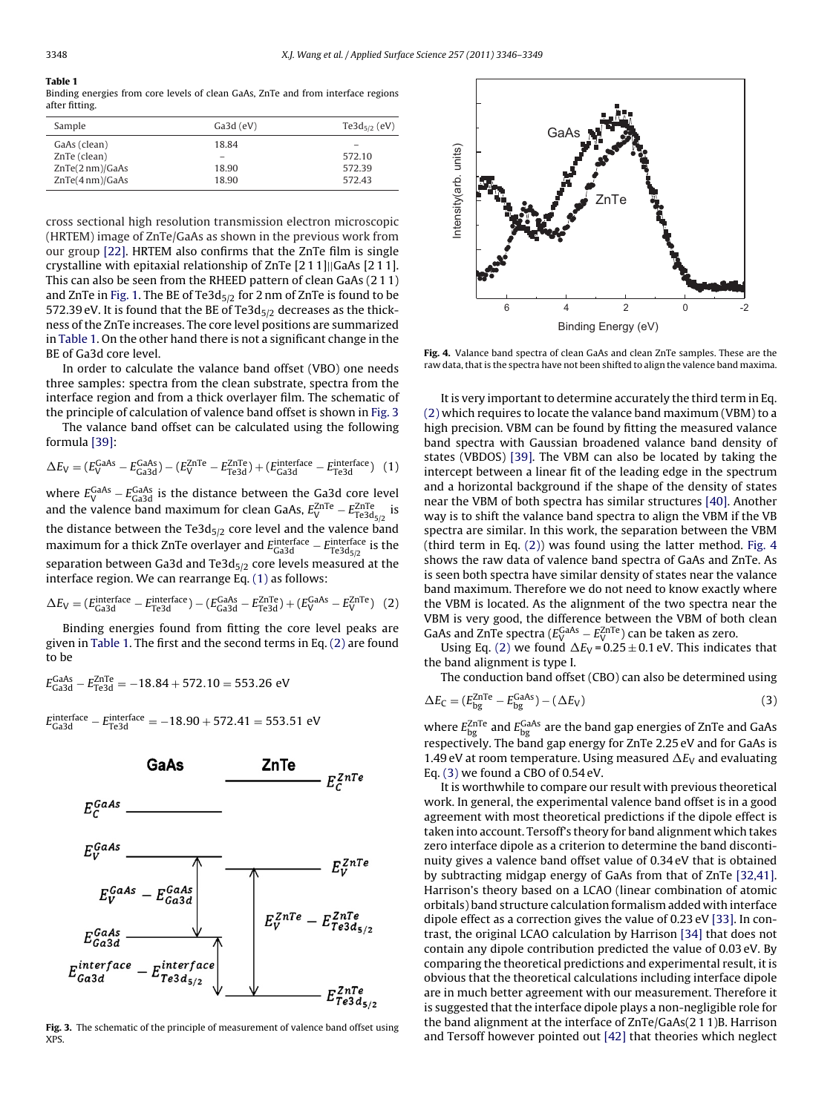#### **Table 1**

Binding energies from core levels of clean GaAs, ZnTe and from interface regions after fitting.

| Sample          | $Ga3d$ (eV) | Te3d <sub>5/2</sub> (eV) |
|-----------------|-------------|--------------------------|
| GaAs (clean)    | 18.84       |                          |
| ZnTe (clean)    |             | 572.10                   |
| ZnTe(2 nm)/GaAs | 18.90       | 572.39                   |
| ZnTe(4nm)/GaAs  | 18.90       | 572.43                   |
|                 |             |                          |

cross sectional high resolution transmission electron microscopic (HRTEM) image of ZnTe/GaAs as shown in the previous work from our group [\[22\].](#page-3-0) HRTEM also confirms that the ZnTe film is single crystalline with epitaxial relationship of ZnTe [2 1 1]||GaAs [2 1 1]. This can also be seen from the RHEED pattern of clean GaAs (2 1 1) and ZnTe in [Fig. 1. T](#page-1-0)he BE of Te3d $_{5/2}$  for 2 nm of ZnTe is found to be 572.39 eV. It is found that the BE of Te3d $_{5/2}$  decreases as the thickness of the ZnTe increases. The core level positions are summarized in Table 1. On the other hand there is not a significant change in the BE of Ga3d core level.

In order to calculate the valance band offset (VBO) one needs three samples: spectra from the clean substrate, spectra from the interface region and from a thick overlayer film. The schematic of the principle of calculation of valence band offset is shown in Fig. 3

The valance band offset can be calculated using the following formula [\[39\]:](#page-3-0)

$$
\Delta E_V = (E_V^{\text{GaAs}} - E_{\text{Ga3d}}^{\text{GaAs}}) - (E_V^{\text{ZnTe}} - E_{\text{Te3d}}^{\text{ZnTe}}) + (E_{\text{Ga3d}}^{\text{interface}} - E_{\text{Te3d}}^{\text{interface}}) \tag{1}
$$

where  $E_{\rm V}^{\rm GaAs}$  –  $E_{\rm Ga3d}^{\rm GaAs}$  is the distance between the Ga3d core level and the valence band maximum for clean GaAs,  $E_{\rm V}^{\rm ZnTe}-E_{\rm Te3d_{5/2}}^{\rm ZnTe}$  is the distance between the Te3d $_{5/2}$  core level and the valence band maximum for a thick ZnTe overlayer and  $E_{\sf Ga3d}^{\sf interface} - E_{\sf Te3d_{5/2}}^{\sf interface}$  is the separation between Ga3d and Te3d $_{5/2}$  core levels measured at the interface region. We can rearrange Eq. (1) as follows:

$$
\Delta E_{\rm V} = (E_{\rm Ga3d}^{\rm interface} - E_{\rm Te3d}^{\rm interface}) - (E_{\rm Ga3d}^{\rm GaAs} - E_{\rm Te3d}^{\rm ZnTe}) + (E_{\rm V}^{\rm GaAs} - E_{\rm V}^{\rm ZnTe}) \tag{2}
$$

Binding energies found from fitting the core level peaks are given in Table 1. The first and the second terms in Eq. (2) are found to be

$$
E_{\text{Ga3d}}^{\text{GaAs}} - E_{\text{Te3d}}^{\text{ZnTe}} = -18.84 + 572.10 = 553.26 \text{ eV}
$$

$$
E_{Ga3d}^{interface} - E_{Te3d}^{interface} = -18.90 + 572.41 = 553.51 \text{ eV}
$$



**Fig. 3.** The schematic of the principle of measurement of valence band offset using XPS.



**Fig. 4.** Valance band spectra of clean GaAs and clean ZnTe samples. These are the raw data, that is the spectra have not been shifted to align the valence band maxima.

It is very important to determine accurately the third term in Eq. (2) which requires to locate the valance band maximum (VBM) to a high precision. VBM can be found by fitting the measured valance band spectra with Gaussian broadened valance band density of states (VBDOS) [\[39\].](#page-3-0) The VBM can also be located by taking the intercept between a linear fit of the leading edge in the spectrum and a horizontal background if the shape of the density of states near the VBM of both spectra has similar structures [\[40\]. A](#page-3-0)nother way is to shift the valance band spectra to align the VBM if the VB spectra are similar. In this work, the separation between the VBM (third term in Eq. (2)) was found using the latter method. Fig. 4 shows the raw data of valence band spectra of GaAs and ZnTe. As is seen both spectra have similar density of states near the valance band maximum. Therefore we do not need to know exactly where the VBM is located. As the alignment of the two spectra near the VBM is very good, the difference between the VBM of both clean GaAs and ZnTe spectra ( $E_{\rm V}^{\rm GaAs}$  –  $E_{\rm V}^{\rm ZnTe}$ ) can be taken as zero.

Using Eq. (2) we found  $\Delta E_V$  = 0.25  $\pm$  0.1 eV. This indicates that the band alignment is type I.

The conduction band offset (CBO) can also be determined using

$$
\Delta E_{\rm C} = (E_{\rm bg}^{\rm ZnTe} - E_{\rm bg}^{\rm GaAs}) - (\Delta E_{\rm V})
$$
\n(3)

where  $E_{\rm bg}^{\rm ZnTe}$  and  $E_{\rm bg}^{\rm GaAs}$  are the band gap energies of ZnTe and GaAs respectively. The band gap energy for ZnTe 2.25 eV and for GaAs is 1.49 eV at room temperature. Using measured  $\Delta E_{\rm V}$  and evaluating Eq. (3) we found a CBO of 0.54 eV.

It is worthwhile to compare our result with previous theoretical work. In general, the experimental valence band offset is in a good agreement with most theoretical predictions if the dipole effect is taken into account. Tersoff's theory for band alignment which takes zero interface dipole as a criterion to determine the band discontinuity gives a valence band offset value of 0.34 eV that is obtained by subtracting midgap energy of GaAs from that of ZnTe [\[32,41\].](#page-3-0) Harrison's theory based on a LCAO (linear combination of atomic orbitals) band structure calculation formalism added with interface dipole effect as a correction gives the value of 0.23 eV [\[33\]. I](#page-3-0)n contrast, the original LCAO calculation by Harrison [\[34\]](#page-3-0) that does not contain any dipole contribution predicted the value of 0.03 eV. By comparing the theoretical predictions and experimental result, it is obvious that the theoretical calculations including interface dipole are in much better agreement with our measurement. Therefore it is suggested that the interface dipole plays a non-negligible role for the band alignment at the interface of ZnTe/GaAs(2 1 1)B. Harrison and Tersoff however pointed out [\[42\]](#page-3-0) that theories which neglect